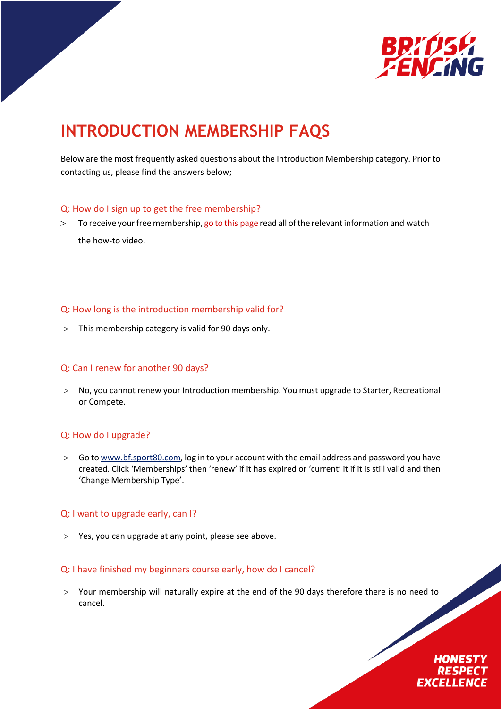

# **INTRODUCTION MEMBERSHIP FAQS**

Below are the most frequently asked questions about the Introduction Membership category. Prior to contacting us, please find the answers below;

#### Q: How do I sign up to get the free membership?

 $>$  To receive your free membership, go to this [page](https://www.britishfencing.com/members/membership-info/membership-types/introduction-membership-category/) read all of the relevant information and watch the how-to video.

# Q: How long is the introduction membership valid for?

> This membership category is valid for 90 days only.

#### Q: Can I renew for another 90 days?

> No, you cannot renew your Introduction membership. You must upgrade to Starter, Recreational or Compete.

# Q: How do I upgrade?

> Go to www.bf.sport80.com, log in to your account with the email address and password you have created. Click 'Memberships' then 'renew' if it has expired or 'current' it if it is still valid and then 'Change Membership Type'.

#### Q: I want to upgrade early, can I?

> Yes, you can upgrade at any point, please see above.

# Q: I have finished my beginners course early, how do I cancel?

> Your membership will naturally expire at the end of the 90 days therefore there is no need to cancel.

# **HONESTY RESPEC EXCELLENCE**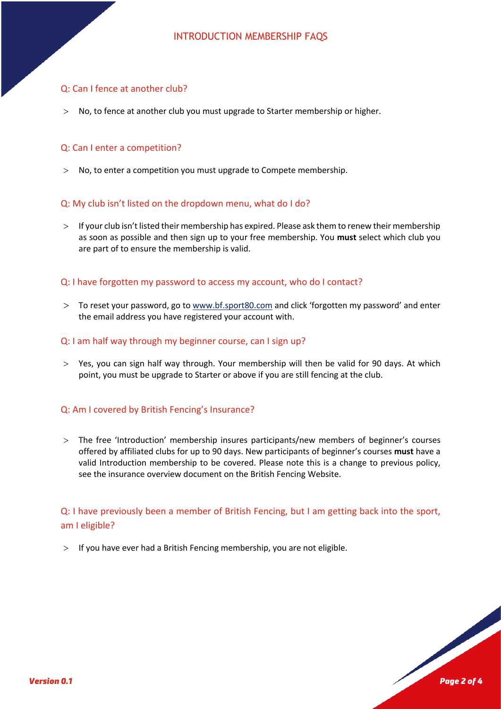# Q: Can I fence at another club?

> No, to fence at another club you must upgrade to Starter membership or higher.

# Q: Can I enter a competition?

> No, to enter a competition you must upgrade to Compete membership.

# Q: My club isn't listed on the dropdown menu, what do I do?

> If your club isn't listed their membership has expired. Please ask them to renew their membership as soon as possible and then sign up to your free membership. You **must** select which club you are part of to ensure the membership is valid.

#### Q: I have forgotten my password to access my account, who do I contact?

> To reset your password, go to www.bf.sport80.com and click 'forgotten my password' and enter the email address you have registered your account with.

#### Q: I am half way through my beginner course, can I sign up?

 $>$  Yes, you can sign half way through. Your membership will then be valid for 90 days. At which point, you must be upgrade to Starter or above if you are still fencing at the club.

#### Q: Am I covered by British Fencing's Insurance?

> The free 'Introduction' membership insures participants/new members of beginner's courses offered by affiliated clubs for up to 90 days. New participants of beginner's courses **must** have a valid Introduction membership to be covered. Please note this is a change to previous policy, see the insurance overview document on the British Fencing Website.

Q: I have previously been a member of British Fencing, but I am getting back into the sport, am I eligible?

> If you have ever had a British Fencing membership, you are not eligible.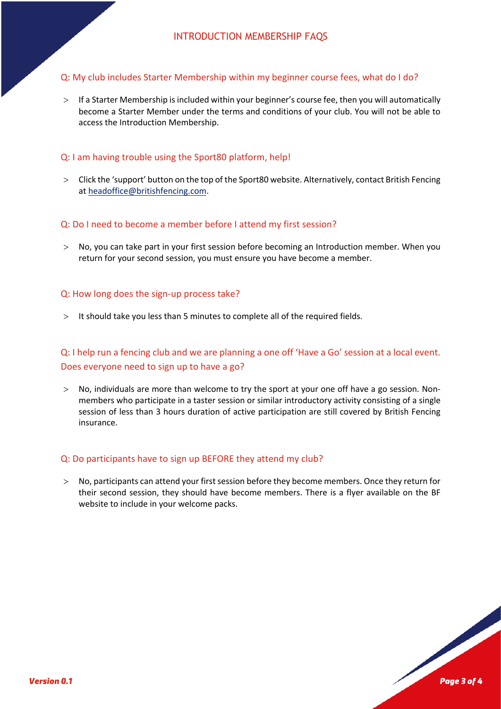# Q: My club includes Starter Membership within my beginner course fees, what do I do?

> If a Starter Membership is included within your beginner's course fee, then you will automatically become a Starter Member under the terms and conditions of your club. You will not be able to access the Introduction Membership.

# Q: I am having trouble using the Sport80 platform, help!

> Click the 'support' button on the top of the Sport80 website. Alternatively, contact British Fencing at headoffice@britishfencing.com.

#### Q: Do I need to become a member before I attend my first session?

> No, you can take part in your first session before becoming an Introduction member. When you return for your second session, you must ensure you have become a member.

#### Q: How long does the sign-up process take?

> It should take you less than 5 minutes to complete all of the required fields.

# Q: I help run a fencing club and we are planning a one off 'Have a Go' session at a local event. Does everyone need to sign up to have a go?

> No, individuals are more than welcome to try the sport at your one off have a go session. Nonmembers who participate in a taster session or similar introductory activity consisting of a single session of less than 3 hours duration of active participation are still covered by British Fencing insurance.

#### Q: Do participants have to sign up BEFORE they attend my club?

> No, participants can attend your first session before they become members. Once they return for their second session, they should have become members. There is a flyer available on the BF website to include in your welcome packs.